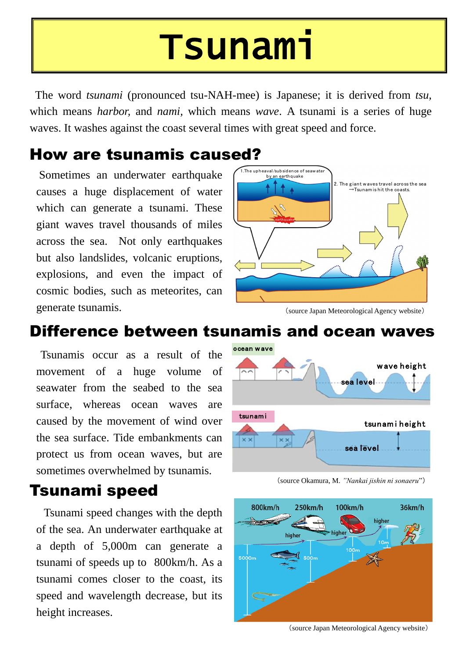The word *tsunami* (pronounced tsu-NAH-mee) is Japanese; it is derived from *tsu,* which means *harbor,* and *nami,* which means *wave*. A tsunami is a series of huge waves. It washes against the coast several times with great speed and force.



(source Okamura, M. *"Nankai jishin ni sonaeru*")

Sometimes an underwater earthquake causes a huge displacement of water which can generate a tsunami. These giant waves travel thousands of miles across the sea. Not only earthquakes but also landslides, volcanic eruptions, explosions, and even the impact of cosmic bodies, such as meteorites, can generate tsunamis. (source Japan Meteorological Agency website)

Tsunamis occur as a result of the movement of a huge volume of seawater from the seabed to the sea surface, whereas ocean waves are caused by the movement of wind over the sea surface. Tide embankments can protect us from ocean waves, but are

# Tsunami

### How are tsunamis caused?



Tsunami speed changes with the depth of the sea. An underwater earthquake at a depth of 5,000m can generate a tsunami of speeds up to 800km/h. As a tsunami comes closer to the coast, its speed and wavelength decrease, but its height increases.

### Tsunami speed



(source Japan Meteorological Agency website)